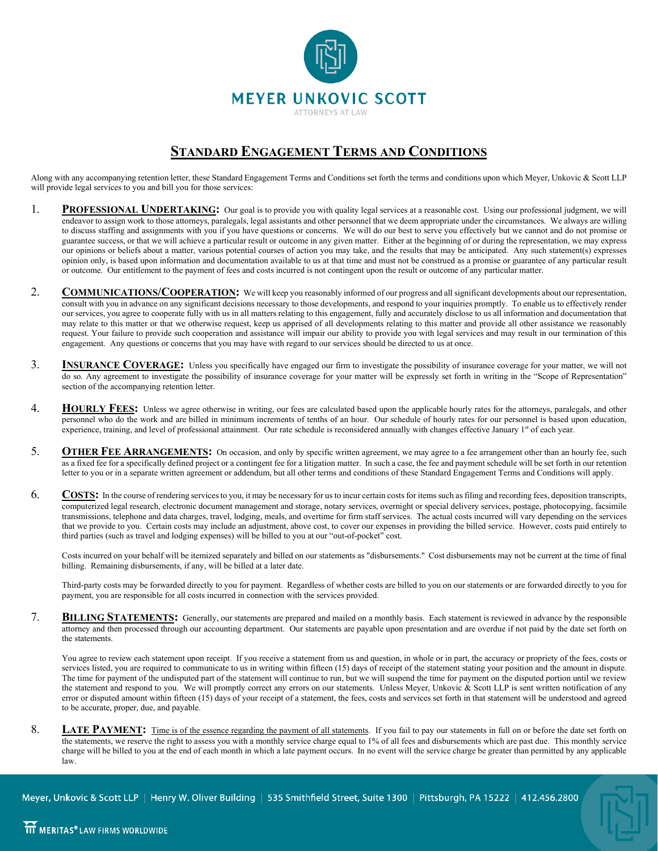

## **STANDARD ENGAGEMENT TERMS AND CONDITIONS**

Along with any accompanying retention letter, these Standard Engagement Terms and Conditions set forth the terms and conditions upon which Meyer, Unkovic & Scott LLP will provide legal services to you and bill you for those services:

- 1. **PROFESSIONAL UNDERTAKING:** Our goal is to provide you with quality legal services at a reasonable cost. Using our professional judgment, we will endeavor to assign work to those attorneys, paralegals, legal assistants and other personnel that we deem appropriate under the circumstances. We always are willing to discuss staffing and assignments with you if you have questions or concerns. We will do our best to serve you effectively but we cannot and do not promise or guarantee success, or that we will achieve a particular result or outcome in any given matter. Either at the beginning of or during the representation, we may express our opinions or beliefs about a matter, various potential courses of action you may take, and the results that may be anticipated. Any such statement(s) expresses opinion only, is based upon information and documentation available to us at that time and must not be construed as a promise or guarantee of any particular result or outcome. Our entitlement to the payment of fees and costs incurred is not contingent upon the result or outcome of any particular matter.
- 2. **COMMUNICATIONS/COOPERATION:** We will keep you reasonably informed of our progress and all significant developments about our representation, consult with you in advance on any significant decisions necessary to those developments, and respond to your inquiries promptly. To enable us to effectively render our services, you agree to cooperate fully with us in all matters relating to this engagement, fully and accurately disclose to us all information and documentation that may relate to this matter or that we otherwise request, keep us apprised of all developments relating to this matter and provide all other assistance we reasonably request. Your failure to provide such cooperation and assistance will impair our ability to provide you with legal services and may result in our termination of this engagement. Any questions or concerns that you may have with regard to our services should be directed to us at once.
- 3. **INSURANCE COVERAGE:** Unless you specifically have engaged our firm to investigate the possibility of insurance coverage for your matter, we will not do so. Any agreement to investigate the possibility of insurance coverage for your matter will be expressly set forth in writing in the "Scope of Representation" section of the accompanying retention letter.
- 4. **HOURLY FEES:** Unless we agree otherwise in writing, our fees are calculated based upon the applicable hourly rates for the attorneys, paralegals, and other personnel who do the work and are billed in minimum increments of tenths of an hour. Our schedule of hourly rates for our personnel is based upon education, experience, training, and level of professional attainment. Our rate schedule is reconsidered annually with changes effective January 1st of each year.
- 5. **OTHER FEE ARRANGEMENTS:** On occasion, and only by specific written agreement, we may agree to a fee arrangement other than an hourly fee, such as a fixed fee for a specifically defined project or a contingent fee for a litigation matter. In such a case, the fee and payment schedule will be set forth in our retention letter to you or in a separate written agreement or addendum, but all other terms and conditions of these Standard Engagement Terms and Conditions will apply.
- 6. **COSTS:** In the course of rendering services to you, it may be necessary for us to incur certain costs for items such as filing and recording fees, deposition transcripts, computerized legal research, electronic document management and storage, notary services, overnight or special delivery services, postage, photocopying, facsimile transmissions, telephone and data charges, travel, lodging, meals, and overtime for firm staff services. The actual costs incurred will vary depending on the services that we provide to you. Certain costs may include an adjustment, above cost, to cover our expenses in providing the billed service. However, costs paid entirely to third parties (such as travel and lodging expenses) will be billed to you at our "out-of-pocket" cost.

Costs incurred on your behalf will be itemized separately and billed on our statements as "disbursements." Cost disbursements may not be current at the time of final billing. Remaining disbursements, if any, will be billed at a later date.

Third-party costs may be forwarded directly to you for payment. Regardless of whether costs are billed to you on our statements or are forwarded directly to you for payment, you are responsible for all costs incurred in connection with the services provided.

7. **BILLING STATEMENTS:** Generally, our statements are prepared and mailed on a monthly basis. Each statement is reviewed in advance by the responsible attorney and then processed through our accounting department. Our statements are payable upon presentation and are overdue if not paid by the date set forth on the statements.

You agree to review each statement upon receipt. If you receive a statement from us and question, in whole or in part, the accuracy or propriety of the fees, costs or services listed, you are required to communicate to us in writing within fifteen (15) days of receipt of the statement stating your position and the amount in dispute. The time for payment of the undisputed part of the statement will continue to run, but we will suspend the time for payment on the disputed portion until we review the statement and respond to you. We will promptly correct any errors on our statements. Unless Meyer, Unkovic & Scott LLP is sent written notification of any error or disputed amount within fifteen (15) days of your receipt of a statement, the fees, costs and services set forth in that statement will be understood and agreed to be accurate, proper, due, and payable.

8. LATE PAYMENT: Time is of the essence regarding the payment of all statements. If you fail to pay our statements in full on or before the date set forth on the statements, we reserve the right to assess you with a monthly service charge equal to 1% of all fees and disbursements which are past due. This monthly service charge will be billed to you at the end of each month in which a late payment occurs. In no event will the service charge be greater than permitted by any applicable law.

Meyer, Unkovic & Scott LLP | Henry W. Oliver Building | 535 Smithfield Street, Suite 1300 | Pittsburgh, PA 15222 | 412.456.2800